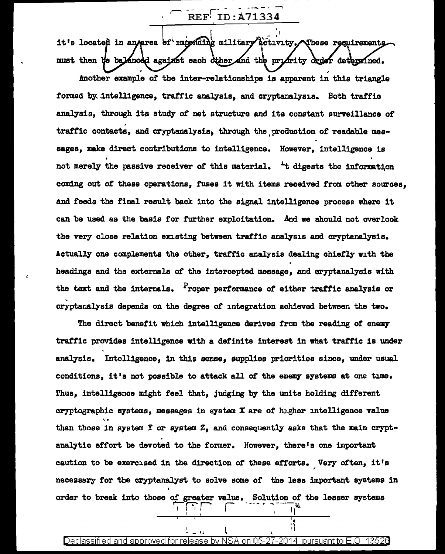REF ID: A71334

it's located in an/area of imponding military activity. These requirements must then the balanced against each other and the priority order determined.

Another example of the inter-relationships is apparent in this triangle formed by intelligence, traffic analysis, and cryptanalysis. Both traffic analysis, through its study of net structure and its constant surveillance of traffic contacts, and cryptanalysis, through the production of readable messages, make direct contributions to intelligence. However, intelligence is not merely the passive receiver of this material. <sup>4</sup>t digests the information coming out of these operations, fuses it with items received from other sources, and feeds the final result back into the signal intelligence process where it can be used as the basis for further exploitation. And we should not overlook the very close relation existing between traffic analysis and cryptanalysis. Actually one complements the other, traffic analysis dealing chiefly with the headings and the externals of the intercepted message, and cryptanalysis with the text and the internals. Proper performance of either traffic analysis or cryptanalysis depends on the degree of integration achieved between the two.

The direct benefit which intelligence derives from the reading of enemy traffic provides intelligence with a definite interest in what traffic is under analysis. Intelligence, in this sense, supplies priorities since, under usual conditions, it's not possible to attack all of the enemy systems at one time. Thus, intelligence might feel that, judging by the units holding different cryptographic systems, messages in system X are of higher intelligence value than those in system Y or system  $Z<sub>2</sub>$  and consequently asks that the main cryptanalytic effort be devoted to the former. However, there's one important caution to be exercised in the direction of these efforts. Very often, it's necessary for the cryptanalyst to solve some of the less important systems in order to break into those of greater value. Solution of the lesser systems

## Declassified and approved for release by NSA on 05-27-2014. pursuant to E.O. 13526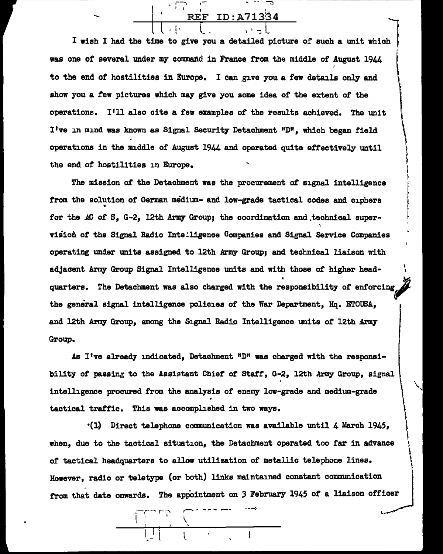ID:A71334  $\begin{array}{|c|c|c|c|}\n\hline\n\text{REF ID: A71334}\n\hline\n\end{array}$ 

1-..., I ..., - - -;::

. .\_

I wish I had the time to give you a detailed picture of such a unit which was one of several under my command in France from the middle of August 1944 to the end of hostilities in Europe. I can give you a few details only and show you a few pictures which may give you some idea of the extent of the operations. I'll also cite a few examples of the results achieved. The unit I've in mind was known as Signal Security Detachment "D", which began field operations in the middle of August 1944 and operated quite effectively until the end of hostilities in Europe.

~ ' ~ t I f  $\vert$ 

!  $\mathbf{I}$ 

 $\left\{ \right.$  $\mathfrak{f}$ ~  $\Big($ '

The mission of the Detachment was the procurement of signal intelligence from the solution of German medium- and low-grade tactical codes and ciphers for the AC of S, G-2, 12th Army Group; the coordination and technical super-' vision of the Signal Radio Intelligence Companies and Signal Service Companies operating under units assigned to 12th Army Group; and technical liaison with adjacent Army Group Signal Intelligence units and with those of higher headquarters. The Detachment was also charged with the responsibility of enforcing the general signal intelligence policies of the War Department, Hq. ETOUSA, and 12th Army Group, among the Signal Radio Intelligence units of 12th Army Group.

As I've already indicated, Detachment  $"D"$  was charged with the responsibility of passing to the Assistant Chief of Staff, G-2, 12th Army Group, signal intelligence procured from the analysis of enemy low-grade and medium-grade . tactical traffic. This was accomplished in two ways.

 $\cdot$ (1) Direct telephone communication was available until 4 March 1945, when, due to the tactical situation, the Detachment operated too far in advance or tactical headquarters to allow utilization of metallic telephone lines. However, radio or teletype (or both) links maintained constant communication from that date onwards. The appointment on 3 February 1945 of a liaison officer

;--r- r""" --- I I I

l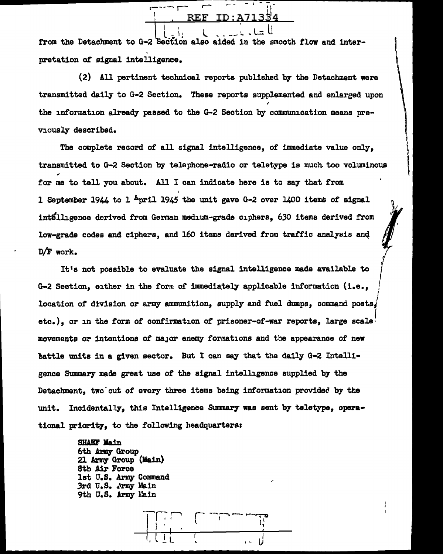$\begin{bmatrix} 1 \\ 1 \end{bmatrix}$  ,  $\begin{bmatrix} 1 \\ 2 \end{bmatrix}$  ,  $\begin{bmatrix} 1 \\ 2 \end{bmatrix}$  ,  $\begin{bmatrix} 1 \\ 2 \end{bmatrix}$ REF ID:  $\begin{matrix} 1 & 1 & 1 \\ 1 & 1 & 1 \\ 1 & 1 & 1 \end{matrix}$ <br>Bection also aided in the smother ا - اساس - اساس - اساس - اساس - اساس - اساس - اساس - اساس - اساس - اساس - اساس - اساس - اساس - اساس - اساس - ا<br>اساس - اساس - اساس - اساس - اساس - اساس - اساس - اساس - اساس - اساس - اساس - اساس - اساس - اساس - اساس - اساس<br>

from the Detachment to G-2 Section also aided in the smooth flow and inter-I pretation or signal intelligence.

(2) All pertinent technical reports published by the Detachment were transmitted daily to G-2 Section. These reports supplemented and enlarged upon the information already passed to the G-2 Section by communication means previously described.

The complete record of all signal intelligence, of immediate value only, transmitted to G-2 Section by telephone-radio or teletype is much. too voluminous for me to tell you about. All I can indicate here is to say that from I 1 September 1944 to 1  $_{\rm{pri1}}$  1945 the unit gave G-2 over 1400 items of signal in't1tlligence derived from German medium-grade ciphers, 630 items derived from low-grade codes and ciphers, and 160 items derived from traffic analysis and D/F work. '

It's not possible to evaluate the signal intelligence made available to G-2 Section, either in the form of immediately applicable information (i.e., location of division or army ammunition, supply and fuel dumps, command posts, etc.), or in the form of confirmation of prisoner-of-war reports, large scale $^{\dagger}$ movements or intentions of m&Jor enemy formations and the appearance of new battle units in a given sector. But I can say that the daily G-2 Intelligence Smnmary made great use of the signal intelligence supplied by the Detachment, two out of every three items being information provided by the unit. Incidentally, this Intelligence Summary was sent by teletype, operational priority, to the following headquartars1

I

 $\mathcal{L}$ 

 $\sqrt{\frac{1}{2}}$ 

SHAEF Main 6th Army Group 21 Army Group (Main) 8th Air Force lat U.S. Army Command 3rd U.S. *Jrrq* Main 9th u. s. *J:rrq* ia1n

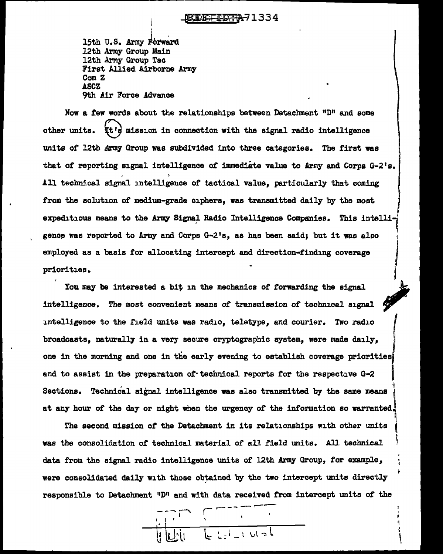## EFFIDTA71334

15th U.S. Army Forward<br>12th Army Group Main 12th Army Group Tac First Allied Airborne Army Com Z ASCZ 9th Air Force Advance

 $\frac{1}{1}$ 

Now a few words about the relationships between Detachment "D" and some other units.  $\forall t$ 's mission in connection with the signal radio intelligence units of 12th Army Group was subdivided into three categories. The first was that of reporting signal intelligence of immediate value to Army and Corps  $G-Z's$ . All technical signal intelligence of tactical value, particularly that coming from the solution of medium-grade ciphers, was transmitted daily by the most expeditious means to the Army Signal Radio Intelligence Companies. This intelli-I gence was reported to Army and Corps G-2's, as has been said; but it was also employed as a basis tor allocating intercept and direction-finding coverage priorities.

You may be interested a bit in the mechanics of forwarding the signal intelligence. The most convenient means of transmission of technical signal intelligence to the field units was radio, teletype, and courier. Two radio *f*  broadcasts, naturally in a very secure cryptographic system, were made daily. one in the morning and one in the early evening to establish coverage priorities and to assist in the preparation of technical reports for the respective G-2 Sections. Technical signal intelligence was also transmitted by the same means at any hour of the day or night when the urgency of the information so warranted.

The second mission of the Detachment in its relationships with other units ( was the consolidation *ot* technical material or all field units. All technical ~' data from the signal radio intelligence units or 12th Army Group, for example, were consolidated daily with those obtained by the two intercept units directly responsible to Detachment "D" and with data received from intercept units of the

 $-$ - $-$ I I I ' .---- - .--- r I  $\cdot$  If the set of  $\cdot$  $t = \frac{1}{2} + \frac{1}{2} + \frac{1}{2} + \frac{1}{2}$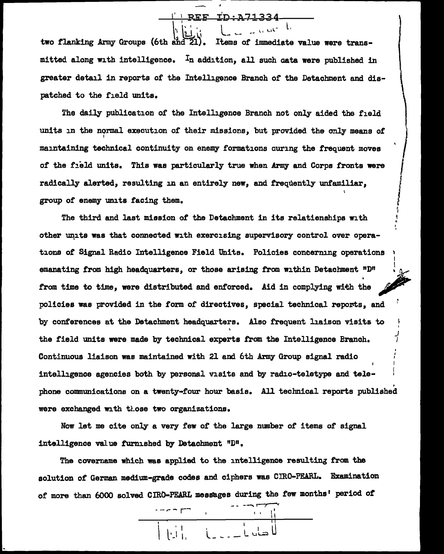## $-$ REF

 $\begin{picture}(20,20) \put(0,0){\line(1,0){10}} \put(10,0){\line(1,0){10}} \put(10,0){\line(1,0){10}} \put(10,0){\line(1,0){10}} \put(10,0){\line(1,0){10}} \put(10,0){\line(1,0){10}} \put(10,0){\line(1,0){10}} \put(10,0){\line(1,0){10}} \put(10,0){\line(1,0){10}} \put(10,0){\line(1,0){10}} \put(10,0){\line(1,0){10}} \put(10,0){\line(1$ 

 $\cdot \int$ 

i

I

~ ',

I

 $\begin{array}{c|c|c|c|c|c|c} & & & & \text{REF} & \text{ID-A71-334} \ \hline & & & & & \text{I} & & \text{I} & & \text{I} & \text{I} & \text{I} & \text{I} & \text{I} & \text{I} & \text{I} & \text{I} & \text{I} & \text{I} & \text{I} & \text{I} & \text{I} & \text{I} & \text{I} & \text{I} & \text{I} & \text{I} & \text{I} & \text{I} & \text{I} & \text{I} & \text{I} & \text{I} & \text{I} & \text{I} &$ mitted along with intelligence.  $I_n$  addition, all such data were published in greater detail in reports of the Intelligence Branch of the Detachment and dispatched to the field units.

The daily publication of the Intelligence Branch not only aided the field units in the normal execution of their missions, but provided the only means of maintaining technical continuity on enemy formations auring the frequent moves of the field units. This was particularly true when Army and Corps fronts were radically alerted, resulting in an entirely new, and frequently unfamiliar, group of enemy units facing them.

The third and last mission of the Detachment in its relatienships with other units was that connected with exercising supervisory control over operai " tions of Signal Radio Intelligence Field Units. Policies concerning operations <sup>~</sup> I I emanating from high headquarters, or those arising from within Detachment  $" D"$ from time to time, were distributed and enforced. Aid in complying with the policies was provided in the form of directives, special technical reports, and by conferences at the Detachment headquarters. Also frequent liaison visits to the field units were made by technical experts from the Intelligence Branch. Continuous liaison was maintained with 21 and 6th Army Group signal radio intelligence agencies both by personal visits and by radio-teletype and tale-  $\overline{1}$ • phone communications on a twenty-four hour basis. All technical reports published were exchanged with those two organizations.

Now let me cite only a very few of the large number of items of signal intelligence value furnished by Detachment "D".

The covername which was applied to the intelligence resulting from the solution of German medium-grade codes and ciphers was CIRO-PEARL. Examination of more than 6000 solved CIRO-PEARL messages during the few months' period of

1 11  $|\ | \ |$ الصادر الصالح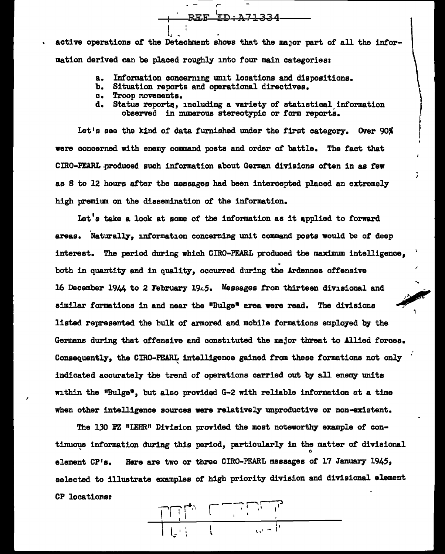active operations of the Detachment shows that the major part of all the information derived can be placed roughly into four main categories:

,-

- a. Information concerning unit locations and dispositions.
- b. Situation reports and operational directives.

l.

- c. Troop Movements.
- d. Status reports., including a variety or statistical information observed in numerous stereotypic or form reports.

 $-$  REF ID:A71334  $-$ 

Let's see the kind of data furnished under the first category. Over 90% were concerned with enemy command posts and order of battle. The fact that CIRO-PEARL.produced such information about German divisions often in as few as 8 to 12 hours after the messages had been intercepted placed an extremely high premium on the dissemination of the information.

Let's take a look at some of the information as it applied to forward areas. Naturally, information concerning unit command posts would be of deep interest. The period during which CIRO-PEARL produced the maximum intelligence, . both in quantity and in quality, occurred during the Ardennes offensive 16 December 1944 to 2 February 19 $\angle$ 5. Messages from thirteen divisional and similar formations in and near the "Bulge" area were read. The divisions listed represented the bulk of armored and mobile formations employed by the Germans during that offensive and constituted the major threat to Allied forces. Consequently, the CIRO-PEARL intelligence gained from these formations not only indicated accurately the trend of operations carried out by all enemy units within the "Bulge", but also provided G-2 with reliable information at a time when other intelligence sources were relatively unproductive or non-existent.

'

The 130 PZ "LEHR" Division provided the most noteworthy example of continuous information during this period, particularly in the matter of divisional element CP's. Here are two or three CIRO-PFARL messages of 17 January 1945, selected to illustrate examples of high priority division and divisional element CP locationat

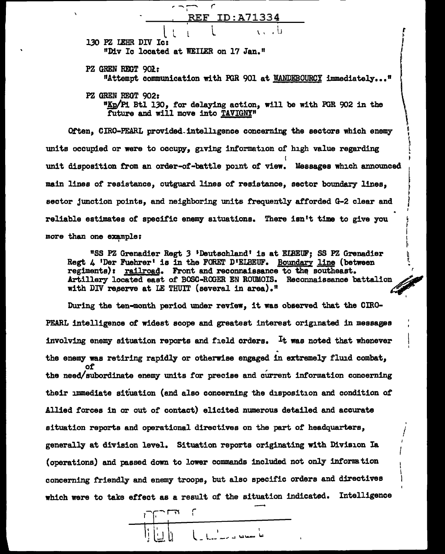

r ~ I I

> ~ '<br>\  $\Gamma$ •

I•  $\ddot{\phantom{0}}$ I

II ~.

'

I I I I

"Kp/Pi Btl 130, for delaying action, will be with PGR 902 in the future and will move into TAVIGNY"

Often, CIRO-PEARL provided-intelligence concerning the sectors which enemy units occupied or were to occupy, giving information or high value regarding I I unit disposition from an order-of-battle point of view. Messages which announced main lines *ot* resistance, outguard lines *ot* resistance, sector boundary lines, <sup>~</sup> sector junction points, and neighboring units frequently afforded G-2 clear and reliable estimates *ot* specific enemy situations. There isn't time to give you more than one example:

**"SS PZ Grenadier Regt 3 'Deutschland' is at EIBEUF; SS PZ Grenadier Regt 4 'Der Fuehrer' is in the FORET D'EIBEUF.** Boundary line (between regiments): railroad. Front and reconnaissance to the southeast. Artillery located east of BOSC-ROGER EN ROUMOIS. Reconnaissance battalion with DIV reserve at LE THUIT (several in area).<sup>11</sup>

During the ten-month period under review, it was observed that the CIRO-PEARL intelligence *ot* widest scope and greatest interest originated in messages involving enemy situation reports and field orders. It was noted that whenever the enemy was retiring rapidly or otherwise engaged in extremely fluid combat, *ot*  the need/subordinate enemy units *tor* precise and cUrrent information concerning their immediate situation (and also concerning the disposition and condition ot Allied forces in or out or contact) elicited numerous detailed and accurate ' situation reports and operational directives on the part *ot* headquarters, / generally at division level. Situation reports originating with Division Ia (operations) and passed down to lower commands included not only information concerning friendly and enemy troops, but also specific orders and directives which were to take effect as a result of the situation indicated. Intelligence

I<br>I I I I  $\lfloor \bigcup_{i=1}^n \bigcup_{j=1}^n \bigcup_{j=1}^n \bigcup_{j=1}^n \bigcup_{j=1}^n \bigcup_{j=1}^n \bigcup_{j=1}^n \bigcup_{j=1}^n \bigcup_{j=1}^n \bigcup_{j=1}^n \bigcup_{j=1}^n \bigcup_{j=1}^n \bigcup_{j=1}^n \bigcup_{j=1}^n \bigcup_{j=1}^n \bigcup_{j=1}^n \bigcup_{j=1}^n \bigcup_{j=1}^n \bigcup_{j=1}^n \bigcup_{j=1}^n \bigcup_{j=1}^n \bigcup_{j=$ r I ل \_ المداحدة مع مع العامدة أ الله مصناعة التاريب أن المراجع ال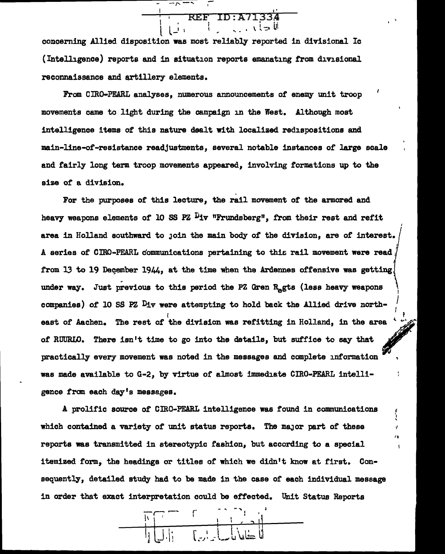--r-I' REF ID:A71334  $\left(\begin{array}{ccc} 1 & -1 \end{array}\right)$  ,  $\left(\begin{array}{ccc} 1 & -1 \end{array}\right)$ i.

concerning Allied disposition was most reliably reported in divisional Ic (Intelligence) reports and in situation reports emanating trom divisional reconnaissance and artillery elements.

From CIRO-PEARL analyses, numerous announcements *ot* enemy unit troop movements came to light during the campaign in the West. Although most intelligence items of this nature dealt with localized redispositions and main-line-of-resistance readjustments, several notable instances of large scale and fairly long term troop movements appeared, involving formations up to the size of a division.

For the purposes of this lecture, the rail movement of the armored and heavy weapons elements of 10 SS PZ  $\tilde{\nu}_{1v}$  "Frundsberg", from their rest and refit area in Holland southward to join the main body of the division, are of interest. A series of CIRO-PEARL communications pertaining to this rail movement were read I from 13 to 19 December 1944, at the time when the Ardennes offensive was getting. under way. Just previous to this period the PZ Gren R<sub>e</sub>gts (less heavy weapons companies) *ot* 10 SS PZ Div were attempting to hold back the Allied drive north- , east of Aachen. The rest of the division was refitting in Holland, in the area  $\overline{33}$ of RUURLO. There isn't time to go into the details, but suffice to say that practically every movement was noted in the messages and complete intormation was made available to G-2, by virtue or almost immediate CIRO-PEARL intelligence from each day's messages.

A prolific source of CIRO-PEARL intelligence was found in communications which contained a variety of unit status reports. The major part of these reports was transmitted in stereotypic fashion, but according to a special itemized form, the headings or titles of which we didn't know at first. Consequently, detailed study had to be made in the case of each individual message in order that exact interpretation could be effected. Unit Status Reports

'"

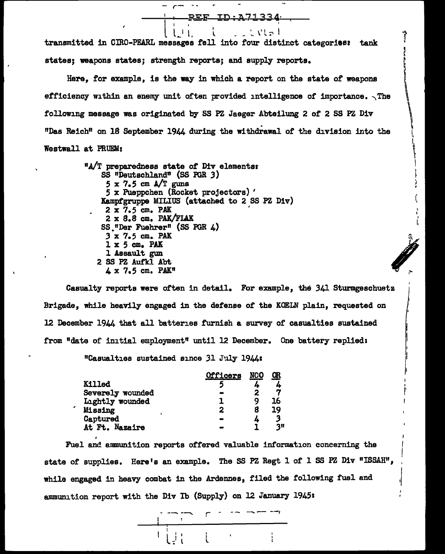-----,--.....,RE-F---+D i A713 3 4· , l I ' ' transmitted in CIRO-PEARL messages f'ell into four distinct categories= tank  $l + l - l - l - l$ ,  $l + l + l$ states; weapons states; strength reports; and supply reports.

 $r \cdots$ 

Here, for example, is the way in which a report on the state of weapons efficiency within an enemy unit often provided intelligence of importance.  $\sqrt{ }$  The following message was originated by SS PZ Jaeger Abteilung 2 of 2 SS PZ Div "Das Reich11 on 18 September 1944 during the withdrawal of the division into the Westwall at PRUEM:

> <sup>11</sup>.A/T preparedness state of' Div elementst SS "Dautschland" (SS FGR 3)  $5 \times 7.5$  cm  $A/T$  guns *5* x Puappchen (Rocket projectors) ' Kampfgruppe MILIUS (attached to 2 SS PZ Div)  $2 \times 7.5$  cm. PAK 2 x 8.8 cm. PAK/FLAX SS. <sup>11</sup>Der Fuehrer" (SS FGR 4) 3 x 7.5 cm. PAK  $1 \times 5$  cm. PAK 1 Assault gun 2 SS PZ Aufkl Abt<br>4 x 7.5 cm. PAK"  $3 \times 7.5$  cm. PAK<br>  $1 \times 5$  cm. PAK<br>  $1$  Assault gun<br>
> SS PZ Aufkl Abt<br>  $4 \times 7.5$  cm. PAK"

Casualty reports were often in detail. For example, the 341 Sturmgeschuetz Brigade, while heavily engaged in the defense of' the KOELN plain, requested on 12 December 1944 that all batteries furnish a survey of casualties sustained from "date of initial employment" until 12 December. One battery replied1

'<br>I

I I

I' I j1 I I I' '

"Casualties sustained since 31 J".lly 19.44:

I

|                  | Officers | <u>NCO</u> | Œ  |
|------------------|----------|------------|----|
| <b>Killed</b>    |          |            |    |
| Severely wounded |          | 2          | 7  |
| Lightly wounded  |          | q          | 16 |
| Missing          | 2        | 8          | 19 |
| Captured         |          | 4          |    |
| At Ft. Nazaire   |          |            | 3H |

Fuel and armnunition reports offered valuable information concerning the state of supplies. Here's an example. The SS PZ Regt 1 of 1 SS PZ Div "ISSAH", while engaged in heavy combat in the Ardennes, filed the following fuel and ammunition report with the Div Ib (Supply) on 12 January 1945:

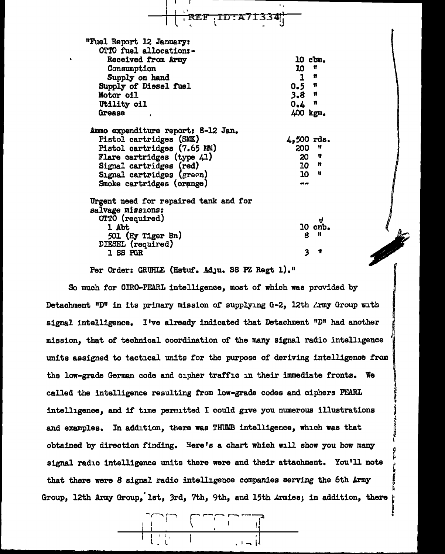$\frac{1}{1}$  is  $\frac{1}{1}$  -  $\frac{1}{1}$  -  $\frac{1}{1}$  -  $\frac{1}{1}$  -  $\frac{1}{1}$  -  $\frac{1}{1}$  -  $\frac{1}{1}$ |<br>|REF TD:A713341; "Fu.el Report 12 January: OTTO fuel allocation:-Received from Army Consumption Supply on hand Supply of Diesel fuel Motor oil Utility oil Grease .Ammo expenditure reportr 8-12 Jan. Pistol cartridges (SMK) Pistol cartridges  $(7.65 M)$ Flare cartridges (type 41) Signal cartridges (red) Signal cartridges (green) Smoke cartridges (orange) Urgent need for repaired tank and for salvage missions: 10 cbm. 10 n l n  $0.5$  n<br>3.8 n 3.8 **"**<br>0.6 **"**  $0.4$ 400 kgm. 4,500 rds.<br>200 M 200 " 20 " 10 n<br>10 u 10 II C1rTO (required) l Abt 501 (Hy Tiger Bn) DIESEL {required) 1 SS PGR *tJ*  10 cmb.  $\boldsymbol{\kappa}$ *3* " Alternatives (required)<br>
1 SS PGR<br>
Per Order: GRUHLE (Hstuf. Adju. SS PZ Regt 1)."<br>
So much for CIRO-PEARL intelligence, most of which was provided by

Per Order: GRUHLE (Hstuf. Ad.ju. SS PZ Regt 1)."

Detachment "D" in its primary mission of supplying G-2, 12th *l*:rmy Group with signal intelligence. I've already indicated that Detachment  $"D"$  had another mission, that of technical coordination of the many signal radio intelligence units assigned to tactical units for the purpose of deriving intelligence from the low-grade German coda and cipher tratfic in their immediate fronts. We called the intelligence resulting from low-grade codes and ciphers PEARL intelligence, and if time permitted I could give you numerous illustrations and examples. In addition, there was THUMB intelligence, which was that obtained by direction finding. Here's a chart which will show you how many signal radio intelligence units there were and their attachment. You'll note that there were 8 signal radio intelligence companies serving the 6th Army Group, 12th Army Group, 1st, 3rd, 7th, 9th, and 15th ... Tunies; in addition, there

I

j f<br>F<br>11

 $\mathfrak{r}$ 

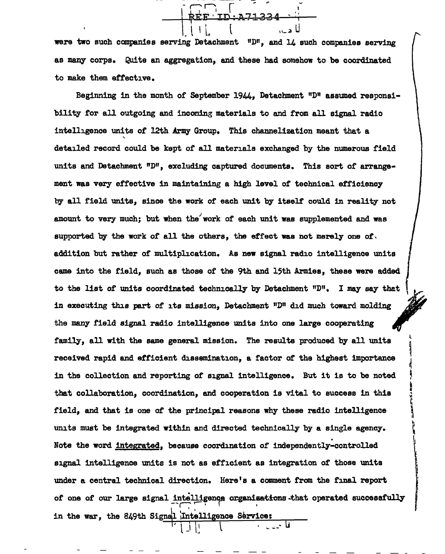$\overline{a}$   $\overline{a}$   $\overline{b}$   $\overline{c}$   $\overline{c}$   $\overline{d}$   $\overline{c}$   $\overline{d}$   $\overline{c}$   $\overline{d}$   $\overline{c}$   $\overline{d}$   $\overline{d}$   $\overline{d}$   $\overline{d}$   $\overline{d}$   $\overline{d}$   $\overline{d}$   $\overline{d}$   $\overline{d}$   $\overline{d}$   $\overline{d}$   $\overline{d}$   $\overline{d}$   $\overline{$ <u>' דר יחד ססס</u> <del>| KEE TD:V 1734 . .</del> \. l I L. l "-~ U

were two such companies serving Detachment  $10^n$ , and 14 such companies serving as many corps. Quite an aggregation, and these had somehow to be coordinated to make them effective.

Beginning in the month of September 1944, Detachment "D" assumed responsibility for all outgoing and incoming materials to and from all signal radio intelligence units or 12th Army Group. This channelization meant that a ' detailed record could be kept of all materials exchanged by the numerous field units and Detachment "D", excluding captured docwnents. This sort of arrangement was very effective in maintaining a high level of technical efficiency by all field units, since the work of each unit by itself could 1n reality not amount to very much; but when the work of each unit was supplemented and was supported by the work of all the others, the effect was not merely one of. addition but rather of multiplication. As new signal radio intelligence units came into the field, such as those or the 9th and 15th Armies, these were added to the list of units coordinated technically by Detachment "D". I may say that in executing this part of its mission, Detachment  $"D"$  did much toward molding the many field signal radio intelligence units into one large cooperating family, all with the same general mission. The results produced by all units received rapid and efficient dissemination, a factor of the highest importance in the collection and reporting or signal intelligence. But it is to be noted that collaboration, coordination, and cooperation is vital to success in this field, and that is one or the principal reasons why these radio intelligence units must be integrated within and directed technically by a single agency. Note the word integrated, because coordination of independently-controlled signal intelligence units is not as efficient as integration of those units under a central technical direction. Here's a comment from the final report of one of our large signal intelligence organizations that operated successfully in the war, the 849th Signal Intelligence Service:  $\begin{array}{|c|c|c|c|c|c|}\hline \rule{0pt}{1ex}\rule{0pt}{1ex}\rule{0pt}{1ex}\rule{0pt}{1ex}\rule{0pt}{1ex}\rule{0pt}{1ex}\rule{0pt}{1ex}\rule{0pt}{1ex}\rule{0pt}{1ex}\rule{0pt}{1ex}\rule{0pt}{1ex}\rule{0pt}{1ex}\rule{0pt}{1ex}\rule{0pt}{1ex}\rule{0pt}{1ex}\rule{0pt}{1ex}\rule{0pt}{1ex}\rule{0pt}{1ex}\rule{0pt}{1ex}\rule{0pt}{1ex}\rule{0pt}{1ex}\rule{0pt}{1ex}\rule{0pt}{1ex}\rule{0pt}{1ex}\rule{0pt}{1$ 

l